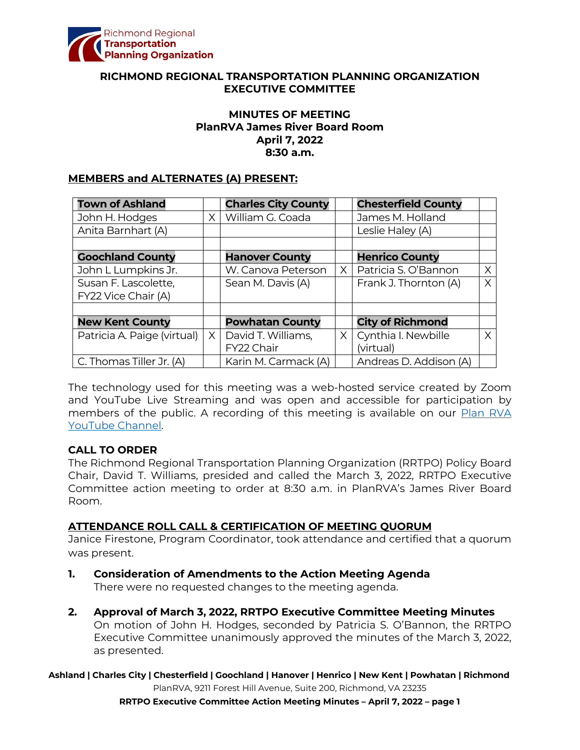

### **RICHMOND REGIONAL TRANSPORTATION PLANNING ORGANIZATION EXECUTIVE COMMITTEE**

### **MINUTES OF MEETING PlanRVA James River Board Room April 7, 2022 8:30 a.m.**

#### **MEMBERS and ALTERNATES (A) PRESENT:**

| <b>Town of Ashland</b>      |          | <b>Charles City County</b> |          | <b>Chesterfield County</b> |    |
|-----------------------------|----------|----------------------------|----------|----------------------------|----|
| John H. Hodges              | X.       | William G. Coada           |          | James M. Holland           |    |
| Anita Barnhart (A)          |          |                            |          | Leslie Haley (A)           |    |
|                             |          |                            |          |                            |    |
| <b>Goochland County</b>     |          | <b>Hanover County</b>      |          | <b>Henrico County</b>      |    |
| John L Lumpkins Jr.         |          | W. Canova Peterson         | $\times$ | Patricia S. O'Bannon       | X  |
| Susan F. Lascolette,        |          | Sean M. Davis (A)          |          | Frank J. Thornton (A)      | X  |
| FY22 Vice Chair (A)         |          |                            |          |                            |    |
|                             |          |                            |          |                            |    |
| <b>New Kent County</b>      |          | <b>Powhatan County</b>     |          | <b>City of Richmond</b>    |    |
| Patricia A. Paige (virtual) | $\times$ | David T. Williams,         | $\times$ | Cynthia I. Newbille        | X. |
|                             |          | FY22 Chair                 |          | (virtual)                  |    |
| C. Thomas Tiller Jr. (A)    |          | Karin M. Carmack (A)       |          | Andreas D. Addison (A)     |    |

The technology used for this meeting was a web-hosted service created by Zoom and YouTube Live Streaming and was open and accessible for participation by members of the public. A recording of this meeting is available on our Plan RVA [YouTube Channel.](https://www.youtube.com/watch?v=z0QZVILjyig)

### **CALL TO ORDER**

The Richmond Regional Transportation Planning Organization (RRTPO) Policy Board Chair, David T. Williams, presided and called the March 3, 2022, RRTPO Executive Committee action meeting to order at 8:30 a.m. in PlanRVA's James River Board Room.

### **ATTENDANCE ROLL CALL & CERTIFICATION OF MEETING QUORUM**

Janice Firestone, Program Coordinator, took attendance and certified that a quorum was present.

- **1. Consideration of Amendments to the Action Meeting Agenda** There were no requested changes to the meeting agenda.
- **2. Approval of March 3, 2022, RRTPO Executive Committee Meeting Minutes** On motion of John H. Hodges, seconded by Patricia S. O'Bannon, the RRTPO Executive Committee unanimously approved the minutes of the March 3, 2022, as presented.

**Ashland | Charles City | Chesterfield | Goochland | Hanover | Henrico | New Kent | Powhatan | Richmond** PlanRVA, 9211 Forest Hill Avenue, Suite 200, Richmond, VA 23235

**RRTPO Executive Committee Action Meeting Minutes – April 7, 2022 – page 1**